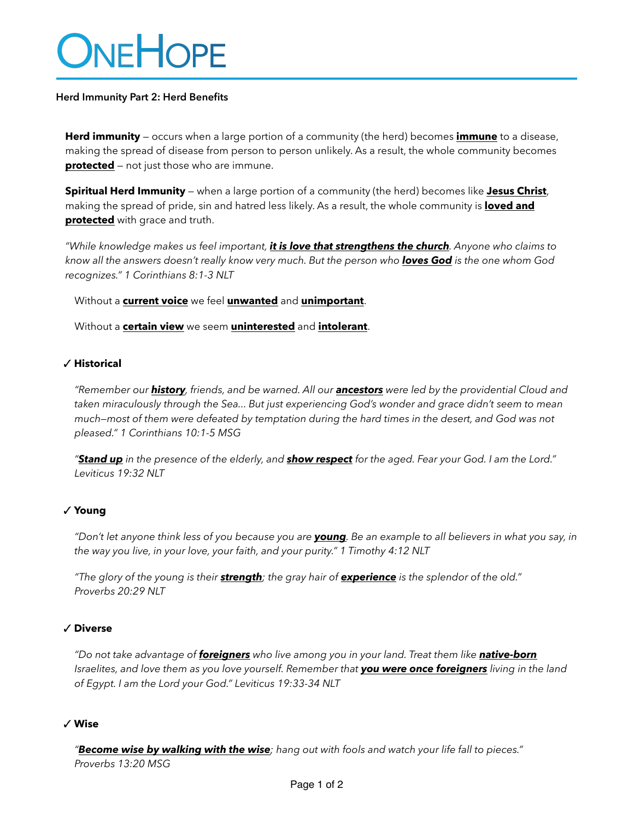# ONEHOPE

# **Herd Immunity Part 2: Herd Benefits**

**Herd immunity** — occurs when a large portion of a community (the herd) becomes **immune** to a disease, making the spread of disease from person to person unlikely. As a result, the whole community becomes **protected** – not just those who are immune.

**Spiritual Herd Immunity** — when a large portion of a community (the herd) becomes like **Jesus Christ**, making the spread of pride, sin and hatred less likely. As a result, the whole community is **loved and protected** with grace and truth.

*"While knowledge makes us feel important, it is love that strengthens the church. Anyone who claims to know all the answers doesn't really know very much. But the person who loves God is the one whom God recognizes." 1 Corinthians 8:1-3 NLT*

Without a **current voice** we feel **unwanted** and **unimportant**.

Without a **certain view** we seem **uninterested** and **intolerant**.

## ✓ **Historical**

*"Remember our history, friends, and be warned. All our ancestors were led by the providential Cloud and taken miraculously through the Sea... But just experiencing God's wonder and grace didn't seem to mean much—most of them were defeated by temptation during the hard times in the desert, and God was not pleased." 1 Corinthians 10:1-5 MSG*

*"Stand up in the presence of the elderly, and show respect for the aged. Fear your God. I am the Lord." Leviticus 19:32 NLT*

# ✓ **Young**

*"Don't let anyone think less of you because you are young. Be an example to all believers in what you say, in the way you live, in your love, your faith, and your purity." 1 Timothy 4:12 NLT*

*"The glory of the young is their strength; the gray hair of experience is the splendor of the old." Proverbs 20:29 NLT*

# ✓ **Diverse**

*"Do not take advantage of foreigners who live among you in your land. Treat them like native-born Israelites, and love them as you love yourself. Remember that you were once foreigners living in the land of Egypt. I am the Lord your God." Leviticus 19:33-34 NLT*

#### ✓ **Wise**

*"Become wise by walking with the wise; hang out with fools and watch your life fall to pieces." Proverbs 13:20 MSG*